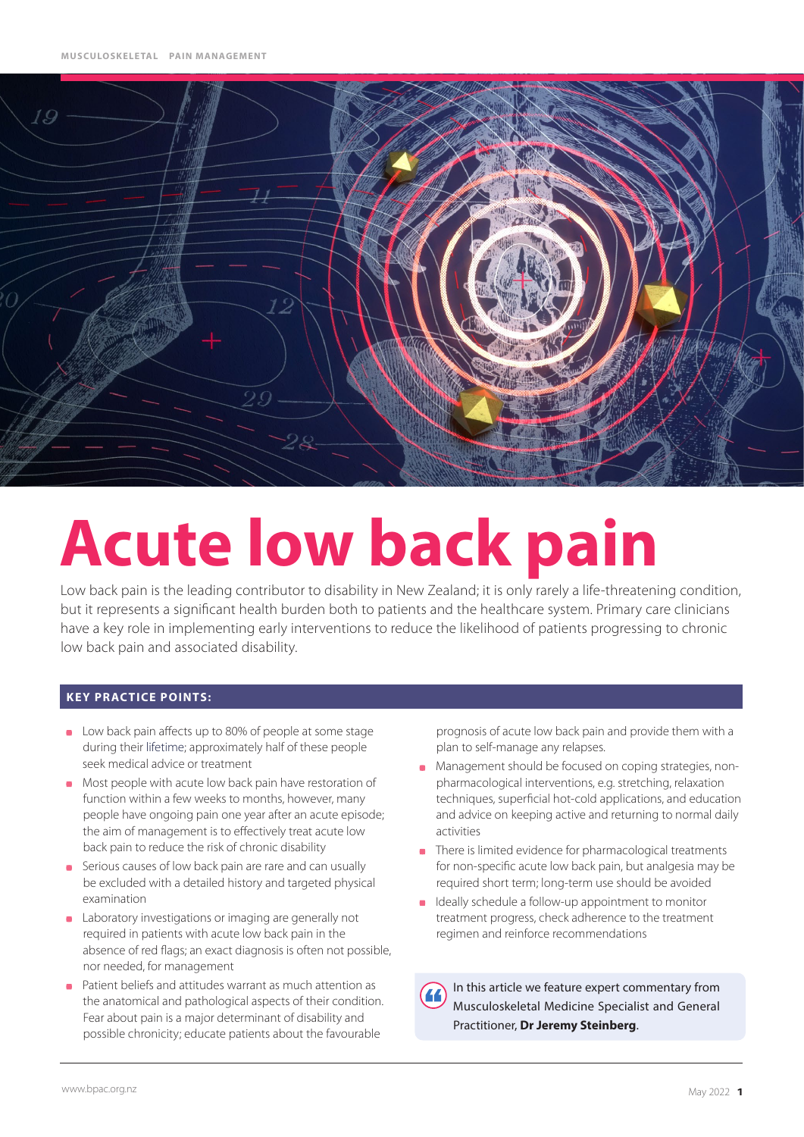

# **Acute low back pain**

Low back pain is the leading contributor to disability in New Zealand; it is only rarely a life-threatening condition, but it represents a significant health burden both to patients and the healthcare system. Primary care clinicians have a key role in implementing early interventions to reduce the likelihood of patients progressing to chronic low back pain and associated disability.

#### **KEY PRACTICE POINTS:**

- **Low back pain affects up to 80% of people at some stage** during their lifetime; approximately half of these people seek medical advice or treatment
- Most people with acute low back pain have restoration of function within a few weeks to months, however, many people have ongoing pain one year after an acute episode; the aim of management is to effectively treat acute low back pain to reduce the risk of chronic disability
- **Serious causes of low back pain are rare and can usually** be excluded with a detailed history and targeted physical examination
- **Laboratory investigations or imaging are generally not** required in patients with acute low back pain in the absence of red flags; an exact diagnosis is often not possible, nor needed, for management
- Patient beliefs and attitudes warrant as much attention as the anatomical and pathological aspects of their condition. Fear about pain is a major determinant of disability and possible chronicity; educate patients about the favourable

prognosis of acute low back pain and provide them with a plan to self-manage any relapses.

- **Management should be focused on coping strategies, non**pharmacological interventions, e.g. stretching, relaxation techniques, superficial hot-cold applications, and education and advice on keeping active and returning to normal daily activities
- There is limited evidence for pharmacological treatments for non-specific acute low back pain, but analgesia may be required short term; long-term use should be avoided
- Ideally schedule a follow-up appointment to monitor treatment progress, check adherence to the treatment regimen and reinforce recommendations

In this article we feature expert commentary from Musculoskeletal Medicine Specialist and General Practitioner, **Dr Jeremy Steinberg**.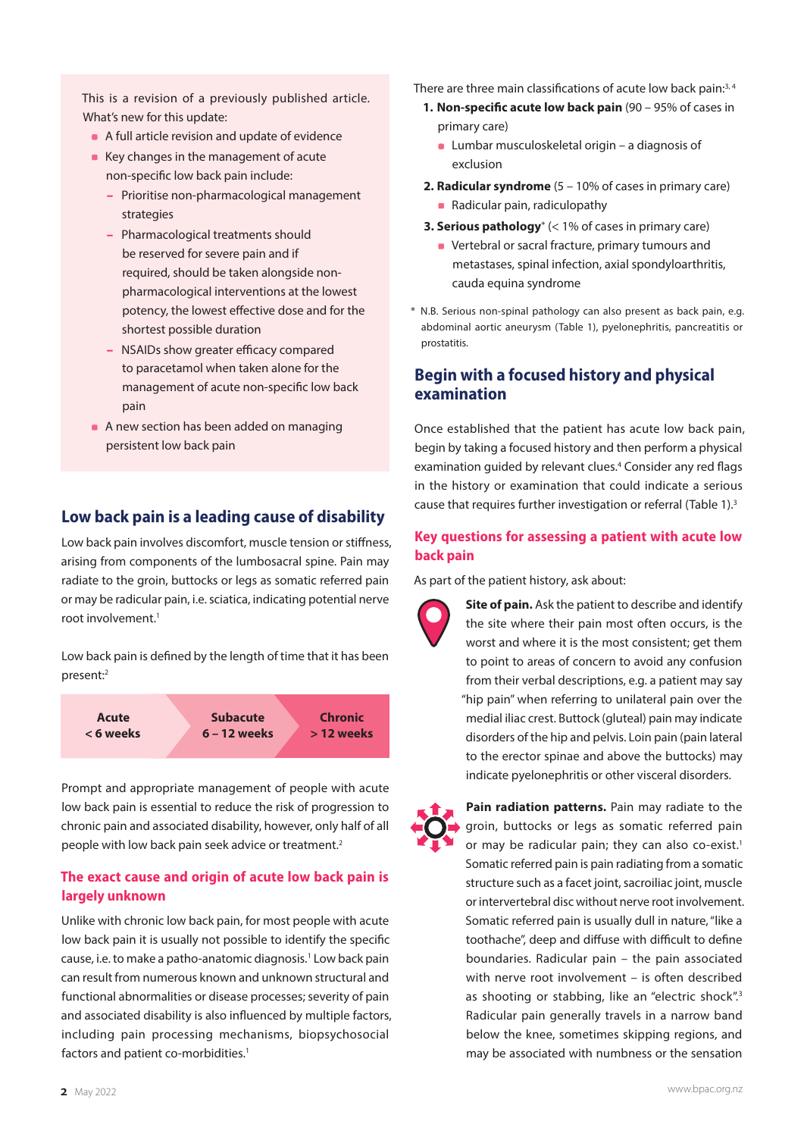This is a revision of a previously published article. What's new for this update:

- A full article revision and update of evidence
- Key changes in the management of acute non-specific low back pain include:
	- Prioritise non-pharmacological management strategies
	- Pharmacological treatments should be reserved for severe pain and if required, should be taken alongside nonpharmacological interventions at the lowest potency, the lowest effective dose and for the shortest possible duration
	- NSAIDs show greater efficacy compared to paracetamol when taken alone for the management of acute non-specific low back pain
- A new section has been added on managing persistent low back pain

#### **Low back pain is a leading cause of disability**

Low back pain involves discomfort, muscle tension or stiffness, arising from components of the lumbosacral spine. Pain may radiate to the groin, buttocks or legs as somatic referred pain or may be radicular pain, i.e. sciatica, indicating potential nerve root involvement.<sup>1</sup>

Low back pain is defined by the length of time that it has been present:2



Prompt and appropriate management of people with acute low back pain is essential to reduce the risk of progression to chronic pain and associated disability, however, only half of all people with low back pain seek advice or treatment.<sup>2</sup>

#### **The exact cause and origin of acute low back pain is largely unknown**

Unlike with chronic low back pain, for most people with acute low back pain it is usually not possible to identify the specific cause, i.e. to make a patho-anatomic diagnosis.<sup>1</sup> Low back pain can result from numerous known and unknown structural and functional abnormalities or disease processes; severity of pain and associated disability is also influenced by multiple factors, including pain processing mechanisms, biopsychosocial factors and patient co-morbidities.<sup>1</sup>

There are three main classifications of acute low back pain:<sup>3, 4</sup>

- **1. Non-specific acute low back pain** (90 95% of cases in primary care)
	- **Lumbar musculoskeletal origin a diagnosis of** exclusion
- **2. Radicular syndrome** (5 10% of cases in primary care) • Radicular pain, radiculopathy
- **3. Serious pathology**\* (< 1% of cases in primary care)
	- **•** Vertebral or sacral fracture, primary tumours and metastases, spinal infection, axial spondyloarthritis, cauda equina syndrome
- \* N.B. Serious non-spinal pathology can also present as back pain, e.g. abdominal aortic aneurysm (Table 1), pyelonephritis, pancreatitis or prostatitis.

#### **Begin with a focused history and physical examination**

Once established that the patient has acute low back pain, begin by taking a focused history and then perform a physical examination guided by relevant clues.<sup>4</sup> Consider any red flags in the history or examination that could indicate a serious cause that requires further investigation or referral (Table 1).<sup>3</sup>

#### **Key questions for assessing a patient with acute low back pain**

As part of the patient history, ask about:



**Pain radiation patterns.** Pain may radiate to the groin, buttocks or legs as somatic referred pain or may be radicular pain; they can also co-exist.<sup>1</sup> Somatic referred pain is pain radiating from a somatic structure such as a facet joint, sacroiliac joint, muscle or intervertebral disc without nerve root involvement. Somatic referred pain is usually dull in nature, "like a toothache", deep and diffuse with difficult to define boundaries. Radicular pain – the pain associated with nerve root involvement – is often described as shooting or stabbing, like an "electric shock".<sup>3</sup> Radicular pain generally travels in a narrow band below the knee, sometimes skipping regions, and may be associated with numbness or the sensation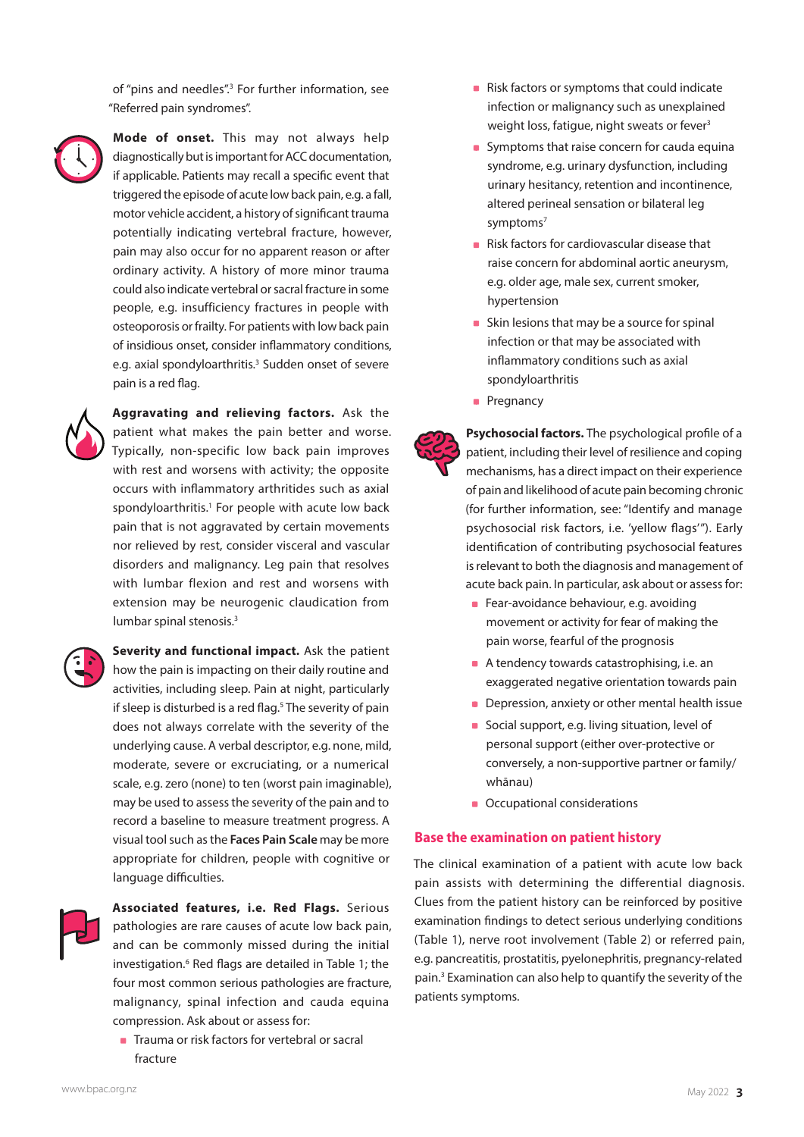of "pins and needles".<sup>3</sup> For further information, see "Referred pain syndromes".

**Mode of onset.** This may not always help

diagnostically but is important for ACC documentation, if applicable. Patients may recall a specific event that triggered the episode of acute low back pain, e.g. a fall, motor vehicle accident, a history of significant trauma potentially indicating vertebral fracture, however, pain may also occur for no apparent reason or after ordinary activity. A history of more minor trauma could also indicate vertebral or sacral fracture in some people, e.g. insufficiency fractures in people with osteoporosis or frailty. For patients with low back pain of insidious onset, consider inflammatory conditions, e.g. axial spondyloarthritis.<sup>3</sup> Sudden onset of severe pain is a red flag.



**Aggravating and relieving factors.** Ask the patient what makes the pain better and worse. Typically, non-specific low back pain improves with rest and worsens with activity; the opposite occurs with inflammatory arthritides such as axial spondyloarthritis.<sup>1</sup> For people with acute low back pain that is not aggravated by certain movements nor relieved by rest, consider visceral and vascular disorders and malignancy. Leg pain that resolves with lumbar flexion and rest and worsens with extension may be neurogenic claudication from lumbar spinal stenosis.<sup>3</sup>



**Severity and functional impact.** Ask the patient how the pain is impacting on their daily routine and activities, including sleep. Pain at night, particularly if sleep is disturbed is a red flag.<sup>5</sup> The severity of pain does not always correlate with the severity of the underlying cause. A verbal descriptor, e.g. none, mild, moderate, severe or excruciating, or a numerical scale, e.g. zero (none) to ten (worst pain imaginable), may be used to assess the severity of the pain and to record a baseline to measure treatment progress. A visual tool such as the **[Faces Pain Scale](https://www.iasp-pain.org/Education/Content.aspx?ItemNumber=1519)** may be more appropriate for children, people with cognitive or language difficulties.



**Associated features, i.e. Red Flags.** Serious pathologies are rare causes of acute low back pain, and can be commonly missed during the initial investigation.6 Red flags are detailed in Table 1; the four most common serious pathologies are fracture, malignancy, spinal infection and cauda equina compression. Ask about or assess for:

**Trauma or risk factors for vertebral or sacral** fracture

- Risk factors or symptoms that could indicate infection or malignancy such as unexplained weight loss, fatigue, night sweats or fever<sup>3</sup>
- **Symptoms that raise concern for cauda equina** syndrome, e.g. urinary dysfunction, including urinary hesitancy, retention and incontinence, altered perineal sensation or bilateral leg symptoms<sup>7</sup>
- Risk factors for cardiovascular disease that raise concern for abdominal aortic aneurysm, e.g. older age, male sex, current smoker, hypertension
- Skin lesions that may be a source for spinal infection or that may be associated with inflammatory conditions such as axial spondyloarthritis
- **Pregnancy**

**Psychosocial factors.** The psychological profile of a patient, including their level of resilience and coping mechanisms, has a direct impact on their experience of pain and likelihood of acute pain becoming chronic (for further information, see: "Identify and manage psychosocial risk factors, i.e. 'yellow flags'"). Early identification of contributing psychosocial features is relevant to both the diagnosis and management of acute back pain. In particular, ask about or assess for:

- **Fear-avoidance behaviour, e.g. avoiding** movement or activity for fear of making the pain worse, fearful of the prognosis
- A tendency towards catastrophising, i.e. an exaggerated negative orientation towards pain
- **Depression, anxiety or other mental health issue**
- **Social support, e.g. living situation, level of** personal support (either over-protective or conversely, a non-supportive partner or family/ whānau)
- **Occupational considerations**

#### **Base the examination on patient history**

The clinical examination of a patient with acute low back pain assists with determining the differential diagnosis. Clues from the patient history can be reinforced by positive examination findings to detect serious underlying conditions (Table 1), nerve root involvement (Table 2) or referred pain, e.g. pancreatitis, prostatitis, pyelonephritis, pregnancy-related pain.3 Examination can also help to quantify the severity of the patients symptoms.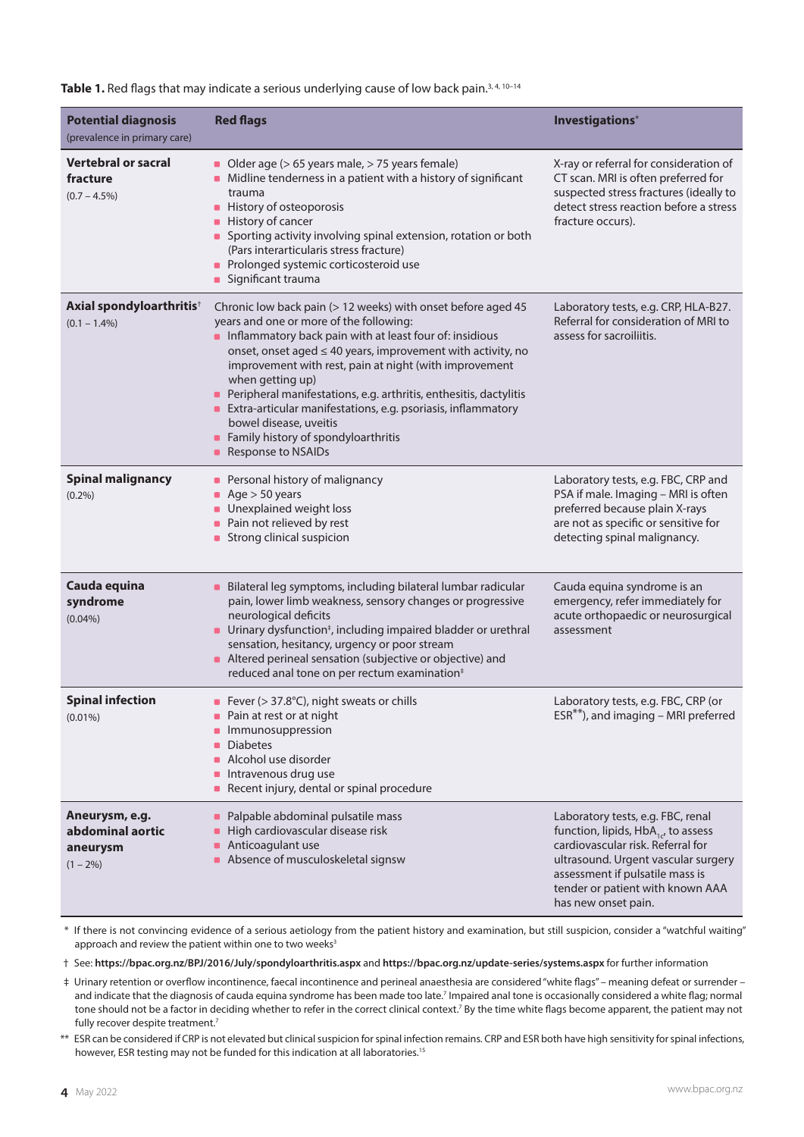Table 1. Red flags that may indicate a serious underlying cause of low back pain.<sup>3, 4, 10-14</sup>

| <b>Potential diagnosis</b><br>(prevalence in primary care)    | <b>Red flags</b>                                                                                                                                                                                                                                                                                                                                                                                                                                                                                                                                                | Investigations*                                                                                                                                                                                                                                         |
|---------------------------------------------------------------|-----------------------------------------------------------------------------------------------------------------------------------------------------------------------------------------------------------------------------------------------------------------------------------------------------------------------------------------------------------------------------------------------------------------------------------------------------------------------------------------------------------------------------------------------------------------|---------------------------------------------------------------------------------------------------------------------------------------------------------------------------------------------------------------------------------------------------------|
| <b>Vertebral or sacral</b><br>fracture<br>$(0.7 - 4.5\%)$     | Older age ( $> 65$ years male, $> 75$ years female)<br>• Midline tenderness in a patient with a history of significant<br>trauma<br>• History of osteoporosis<br>• History of cancer<br>• Sporting activity involving spinal extension, rotation or both<br>(Pars interarticularis stress fracture)<br>Prolonged systemic corticosteroid use<br>• Significant trauma                                                                                                                                                                                            | X-ray or referral for consideration of<br>CT scan. MRI is often preferred for<br>suspected stress fractures (ideally to<br>detect stress reaction before a stress<br>fracture occurs).                                                                  |
| Axial spondyloarthritis <sup>†</sup><br>$(0.1 - 1.4\%)$       | Chronic low back pain (> 12 weeks) with onset before aged 45<br>years and one or more of the following:<br>Inflammatory back pain with at least four of: insidious<br>onset, onset aged $\leq 40$ years, improvement with activity, no<br>improvement with rest, pain at night (with improvement<br>when getting up)<br>Peripheral manifestations, e.g. arthritis, enthesitis, dactylitis<br>Extra-articular manifestations, e.g. psoriasis, inflammatory<br>$\bullet$<br>bowel disease, uveitis<br>• Family history of spondyloarthritis<br>Response to NSAIDs | Laboratory tests, e.g. CRP, HLA-B27.<br>Referral for consideration of MRI to<br>assess for sacroiliitis.                                                                                                                                                |
| <b>Spinal malignancy</b><br>$(0.2\%)$                         | Personal history of malignancy<br>$\blacksquare$<br>Age $> 50$ years<br>Unexplained weight loss<br>• Pain not relieved by rest<br>Strong clinical suspicion<br>$\blacksquare$                                                                                                                                                                                                                                                                                                                                                                                   | Laboratory tests, e.g. FBC, CRP and<br>PSA if male. Imaging - MRI is often<br>preferred because plain X-rays<br>are not as specific or sensitive for<br>detecting spinal malignancy.                                                                    |
| Cauda equina<br>syndrome<br>$(0.04\%)$                        | Bilateral leg symptoms, including bilateral lumbar radicular<br>۰<br>pain, lower limb weakness, sensory changes or progressive<br>neurological deficits<br>• Urinary dysfunction <sup>‡</sup> , including impaired bladder or urethral<br>sensation, hesitancy, urgency or poor stream<br>Altered perineal sensation (subjective or objective) and<br>reduced anal tone on per rectum examination <sup>#</sup>                                                                                                                                                  | Cauda equina syndrome is an<br>emergency, refer immediately for<br>acute orthopaedic or neurosurgical<br>assessment                                                                                                                                     |
| <b>Spinal infection</b><br>$(0.01\%)$                         | Fever ( $>$ 37.8°C), night sweats or chills<br>Pain at rest or at night<br>Immunosuppression<br><b>Diabetes</b><br>Alcohol use disorder<br>Intravenous drug use<br>Recent injury, dental or spinal procedure<br>$\blacksquare$                                                                                                                                                                                                                                                                                                                                  | Laboratory tests, e.g. FBC, CRP (or<br>$ESR^{**}$ ), and imaging – MRI preferred                                                                                                                                                                        |
| Aneurysm, e.g.<br>abdominal aortic<br>aneurysm<br>$(1 - 2\%)$ | Palpable abdominal pulsatile mass<br>$\blacksquare$<br>High cardiovascular disease risk<br>• Anticoagulant use<br>Absence of musculoskeletal signsw                                                                                                                                                                                                                                                                                                                                                                                                             | Laboratory tests, e.g. FBC, renal<br>function, lipids, $HbA_{1c}$ , to assess<br>cardiovascular risk. Referral for<br>ultrasound. Urgent vascular surgery<br>assessment if pulsatile mass is<br>tender or patient with known AAA<br>has new onset pain. |

\* If there is not convincing evidence of a serious aetiology from the patient history and examination, but still suspicion, consider a "watchful waiting" approach and review the patient within one to two weeks<sup>3</sup>

† See: **<https://bpac.org.nz/BPJ/2016/July/spondyloarthritis.aspx>** and **<https://bpac.org.nz/update-series/systems.aspx>** for further information

‡ Urinary retention or overflow incontinence, faecal incontinence and perineal anaesthesia are considered "white flags" – meaning defeat or surrender – and indicate that the diagnosis of cauda equina syndrome has been made too late.<sup>7</sup> Impaired anal tone is occasionally considered a white flag; normal tone should not be a factor in deciding whether to refer in the correct clinical context.<sup>7</sup> By the time white flags become apparent, the patient may not fully recover despite treatment.<sup>7</sup>

\*\* ESR can be considered if CRP is not elevated but clinical suspicion for spinal infection remains. CRP and ESR both have high sensitivity for spinal infections, however, ESR testing may not be funded for this indication at all laboratories.<sup>15</sup>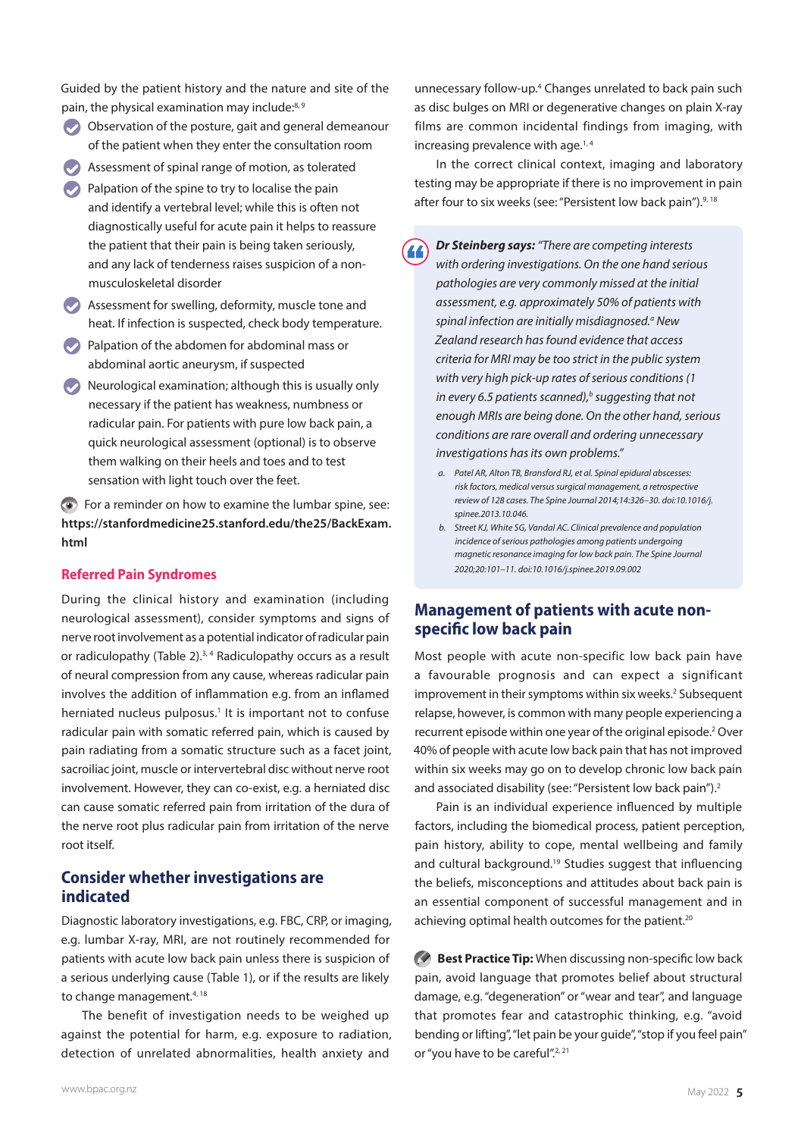Guided by the patient history and the nature and site of the pain, the physical examination may include:<sup>8, 9</sup>

- Observation of the posture, gait and general demeanour of the patient when they enter the consultation room
- Assessment of spinal range of motion, as tolerated
- $\bullet$  Palpation of the spine to try to localise the pain and identify a vertebral level; while this is often not diagnostically useful for acute pain it helps to reassure the patient that their pain is being taken seriously, and any lack of tenderness raises suspicion of a nonmusculoskeletal disorder
- Assessment for swelling, deformity, muscle tone and heat. If infection is suspected, check body temperature.
- Palpation of the abdomen for abdominal mass or abdominal aortic aneurysm, if suspected
- $\vee$  Neurological examination; although this is usually only necessary if the patient has weakness, numbness or radicular pain. For patients with pure low back pain, a quick neurological assessment (optional) is to observe them walking on their heels and toes and to test sensation with light touch over the feet.

For a reminder on how to examine the lumbar spine, see: **[https://stanfordmedicine25.stanford.edu/the25/BackExam.](https://stanfordmedicine25.stanford.edu/the25/BackExam.html) [html](https://stanfordmedicine25.stanford.edu/the25/BackExam.html)**

#### **Referred Pain Syndromes**

During the clinical history and examination (including neurological assessment), consider symptoms and signs of nerve root involvement as a potential indicator of radicular pain or radiculopathy (Table 2). $3, 4$  Radiculopathy occurs as a result of neural compression from any cause, whereas radicular pain involves the addition of inflammation e.g. from an inflamed herniated nucleus pulposus.<sup>1</sup> It is important not to confuse radicular pain with somatic referred pain, which is caused by pain radiating from a somatic structure such as a facet joint, sacroiliac joint, muscle or intervertebral disc without nerve root involvement. However, they can co-exist, e.g. a herniated disc can cause somatic referred pain from irritation of the dura of the nerve root plus radicular pain from irritation of the nerve root itself.

#### **Consider whether investigations are indicated**

Diagnostic laboratory investigations, e.g. FBC, CRP, or imaging, e.g. lumbar X-ray, MRI, are not routinely recommended for patients with acute low back pain unless there is suspicion of a serious underlying cause (Table 1), or if the results are likely to change management.<sup>4, 18</sup>

The benefit of investigation needs to be weighed up against the potential for harm, e.g. exposure to radiation, detection of unrelated abnormalities, health anxiety and

unnecessary follow-up.<sup>4</sup> Changes unrelated to back pain such as disc bulges on MRI or degenerative changes on plain X-ray films are common incidental findings from imaging, with increasing prevalence with age. $1,4$ 

In the correct clinical context, imaging and laboratory testing may be appropriate if there is no improvement in pain after four to six weeks (see: "Persistent low back pain").<sup>9, 18</sup>

- *Dr Steinberg says: "There are competing interests*   $\overline{4}$ *with ordering investigations. On the one hand serious pathologies are very commonly missed at the initial assessment, e.g. approximately 50% of patients with*  spinal infection are initially misdiagnosed.<sup>ª</sup> New *Zealand research has found evidence that access criteria for MRI may be too strict in the public system with very high pick-up rates of serious conditions (1 in every 6.5 patients scanned)*,<sup>*b*</sup> suggesting that not *enough MRIs are being done. On the other hand, serious conditions are rare overall and ordering unnecessary investigations has its own problems."* 
	- *a. Patel AR, Alton TB, Bransford RJ, et al. Spinal epidural abscesses: risk factors, medical versus surgical management, a retrospective review of 128 cases. The Spine Journal 2014;14:326–30. doi:10.1016/j. spinee.2013.10.046.*
	- *b. Street KJ, White SG, Vandal AC. Clinical prevalence and population incidence of serious pathologies among patients undergoing magnetic resonance imaging for low back pain. The Spine Journal 2020;20:101–11. doi:10.1016/j.spinee.2019.09.002*

#### **Management of patients with acute nonspecific low back pain**

Most people with acute non-specific low back pain have a favourable prognosis and can expect a significant improvement in their symptoms within six weeks.<sup>2</sup> Subsequent relapse, however, is common with many people experiencing a recurrent episode within one year of the original episode.<sup>2</sup> Over 40% of people with acute low back pain that has not improved within six weeks may go on to develop chronic low back pain and associated disability (see: "Persistent low back pain").<sup>2</sup>

Pain is an individual experience influenced by multiple factors, including the biomedical process, patient perception, pain history, ability to cope, mental wellbeing and family and cultural background.<sup>19</sup> Studies suggest that influencing the beliefs, misconceptions and attitudes about back pain is an essential component of successful management and in achieving optimal health outcomes for the patient.<sup>20</sup>

**Best Practice Tip:** When discussing non-specific low back pain, avoid language that promotes belief about structural damage, e.g. "degeneration" or "wear and tear", and language that promotes fear and catastrophic thinking, e.g. "avoid bending or lifting", "let pain be your guide", "stop if you feel pain" or "you have to be careful".<sup>2, 21</sup>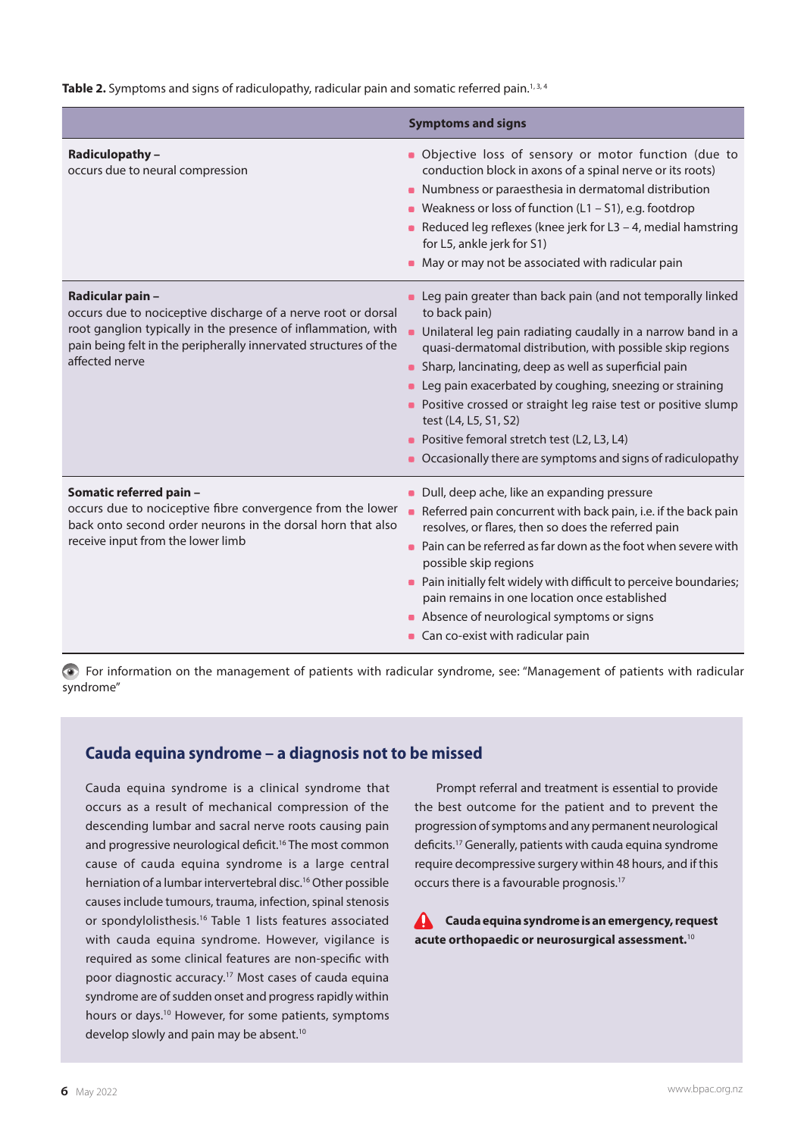Table 2. Symptoms and signs of radiculopathy, radicular pain and somatic referred pain.<sup>1,3,4</sup>

|                                                                                                                                                                                                                                          | <b>Symptoms and signs</b>                                                                                                                                                                                                                                                                                                                                                                                                                                                                                                                                     |
|------------------------------------------------------------------------------------------------------------------------------------------------------------------------------------------------------------------------------------------|---------------------------------------------------------------------------------------------------------------------------------------------------------------------------------------------------------------------------------------------------------------------------------------------------------------------------------------------------------------------------------------------------------------------------------------------------------------------------------------------------------------------------------------------------------------|
| <b>Radiculopathy -</b><br>occurs due to neural compression                                                                                                                                                                               | • Objective loss of sensory or motor function (due to<br>conduction block in axons of a spinal nerve or its roots)<br>• Numbness or paraesthesia in dermatomal distribution<br>• Weakness or loss of function $(L1 - S1)$ , e.g. footdrop<br>Reduced leg reflexes (knee jerk for L3 - 4, medial hamstring<br>for L5, ankle jerk for S1)<br>• May or may not be associated with radicular pain                                                                                                                                                                 |
| Radicular pain -<br>occurs due to nociceptive discharge of a nerve root or dorsal<br>root ganglion typically in the presence of inflammation, with<br>pain being felt in the peripherally innervated structures of the<br>affected nerve | • Leg pain greater than back pain (and not temporally linked<br>to back pain)<br>$\blacksquare$<br>Unilateral leg pain radiating caudally in a narrow band in a<br>quasi-dermatomal distribution, with possible skip regions<br>• Sharp, lancinating, deep as well as superficial pain<br>• Leg pain exacerbated by coughing, sneezing or straining<br>• Positive crossed or straight leg raise test or positive slump<br>test (L4, L5, S1, S2)<br>• Positive femoral stretch test (L2, L3, L4)<br>Occasionally there are symptoms and signs of radiculopathy |
| Somatic referred pain -<br>occurs due to nociceptive fibre convergence from the lower<br>back onto second order neurons in the dorsal horn that also<br>receive input from the lower limb                                                | • Dull, deep ache, like an expanding pressure<br>Referred pain concurrent with back pain, i.e. if the back pain<br>$\blacksquare$<br>resolves, or flares, then so does the referred pain<br>• Pain can be referred as far down as the foot when severe with<br>possible skip regions<br>• Pain initially felt widely with difficult to perceive boundaries;<br>pain remains in one location once established<br>Absence of neurological symptoms or signs<br>Can co-exist with radicular pain                                                                 |

For information on the management of patients with radicular syndrome, see: "Management of patients with radicular syndrome"

#### **Cauda equina syndrome – a diagnosis not to be missed**

Cauda equina syndrome is a clinical syndrome that occurs as a result of mechanical compression of the descending lumbar and sacral nerve roots causing pain and progressive neurological deficit.<sup>16</sup> The most common cause of cauda equina syndrome is a large central herniation of a lumbar intervertebral disc.<sup>16</sup> Other possible causes include tumours, trauma, infection, spinal stenosis or spondylolisthesis.16 Table 1 lists features associated with cauda equina syndrome. However, vigilance is required as some clinical features are non-specific with poor diagnostic accuracy.17 Most cases of cauda equina syndrome are of sudden onset and progress rapidly within hours or days.10 However, for some patients, symptoms develop slowly and pain may be absent.<sup>10</sup>

Prompt referral and treatment is essential to provide the best outcome for the patient and to prevent the progression of symptoms and any permanent neurological deficits.17 Generally, patients with cauda equina syndrome require decompressive surgery within 48 hours, and if this occurs there is a favourable prognosis.17

 $\mathbf{\Lambda}$ **Cauda equina syndrome is an emergency, request acute orthopaedic or neurosurgical assessment.**<sup>10</sup>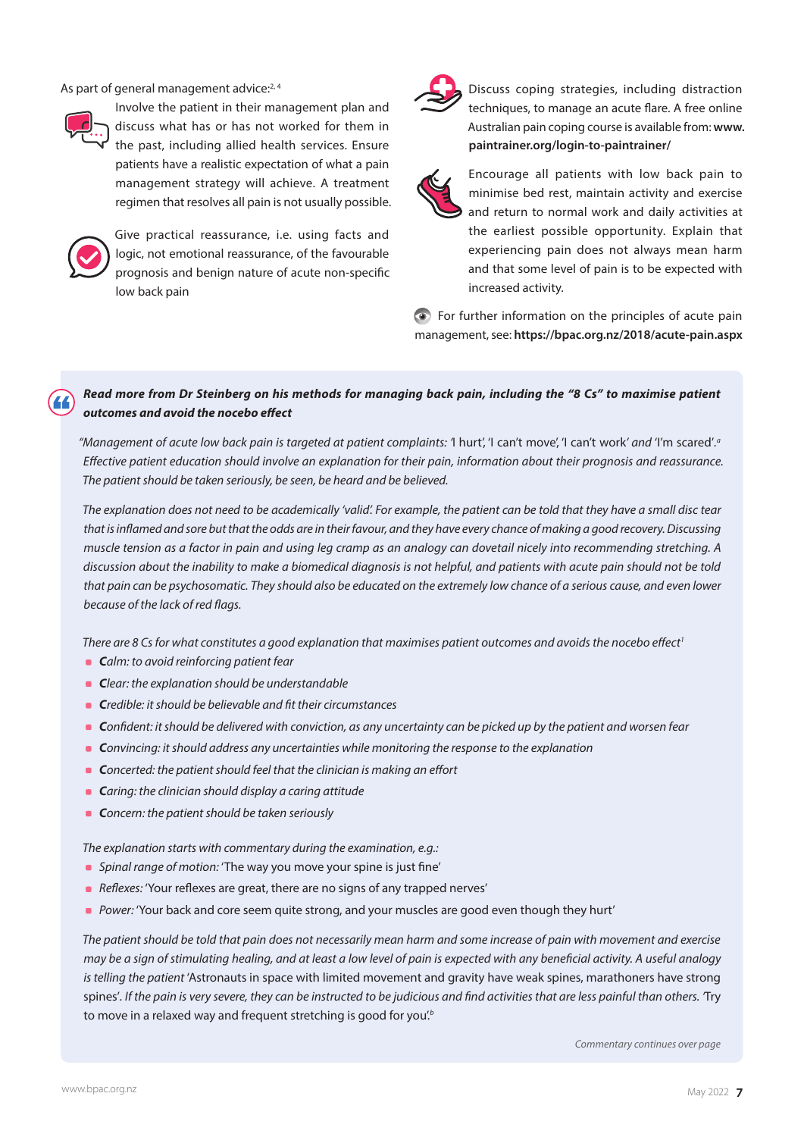As part of general management advice:<sup>2,4</sup>



Involve the patient in their management plan and discuss what has or has not worked for them in the past, including allied health services. Ensure patients have a realistic expectation of what a pain management strategy will achieve. A treatment regimen that resolves all pain is not usually possible.



Give practical reassurance, i.e. using facts and logic, not emotional reassurance, of the favourable prognosis and benign nature of acute non-specific low back pain



Discuss coping strategies, including distraction techniques, to manage an acute flare. A free online Australian pain coping course is available from: **www. paintrainer.org/login-to-paintrainer/**



Encourage all patients with low back pain to minimise bed rest, maintain activity and exercise and return to normal work and daily activities at the earliest possible opportunity. Explain that experiencing pain does not always mean harm and that some level of pain is to be expected with increased activity.

For further information on the principles of acute pain management, see: **<https://bpac.org.nz/2018/acute-pain.aspx>**

#### *Read more from Dr Steinberg on his methods for managing back pain, including the "8 Cs" to maximise patient outcomes and avoid the nocebo effect*

*"Management of acute low back pain is targeted at patient complaints: '*I hurt', 'I can't move', 'I can't work*' and* 'I'm scared'*. a Effective patient education should involve an explanation for their pain, information about their prognosis and reassurance. The patient should be taken seriously, be seen, be heard and be believed.*

*The explanation does not need to be academically 'valid'. For example, the patient can be told that they have a small disc tear that is inflamed and sore but that the odds are in their favour, and they have every chance of making a good recovery. Discussing muscle tension as a factor in pain and using leg cramp as an analogy can dovetail nicely into recommending stretching. A discussion about the inability to make a biomedical diagnosis is not helpful, and patients with acute pain should not be told that pain can be psychosomatic. They should also be educated on the extremely low chance of a serious cause, and even lower because of the lack of red flags.*

There are 8 Cs for what constitutes a good explanation that maximises patient outcomes and avoids the nocebo effect<sup>1</sup>

- *Calm: to avoid reinforcing patient fear*
- *Clear: the explanation should be understandable*
- *Credible: it should be believable and fit their circumstances*
- *Confident: it should be delivered with conviction, as any uncertainty can be picked up by the patient and worsen fear*
- *Convincing: it should address any uncertainties while monitoring the response to the explanation*
- **C***oncerted: the patient should feel that the clinician is making an effort*
- *Caring: the clinician should display a caring attitude*
- **C***oncern: the patient should be taken seriously*

*The explanation starts with commentary during the examination, e.g.:*

- *Spinal range of motion:* 'The way you move your spine is just fine'
- *Reflexes: 'Your reflexes are great, there are no signs of any trapped nerves'*
- **Power: 'Your back and core seem quite strong, and your muscles are good even though they hurt'**

*The patient should be told that pain does not necessarily mean harm and some increase of pain with movement and exercise may be a sign of stimulating healing, and at least a low level of pain is expected with any beneficial activity. A useful analogy is telling the patient* 'Astronauts in space with limited movement and gravity have weak spines, marathoners have strong spines'*. If the pain is very severe, they can be instructed to be judicious and find activities that are less painful than others. '*Try to move in a relaxed way and frequent stretching is good for you'.*<sup>b</sup>*

*Commentary continues over page*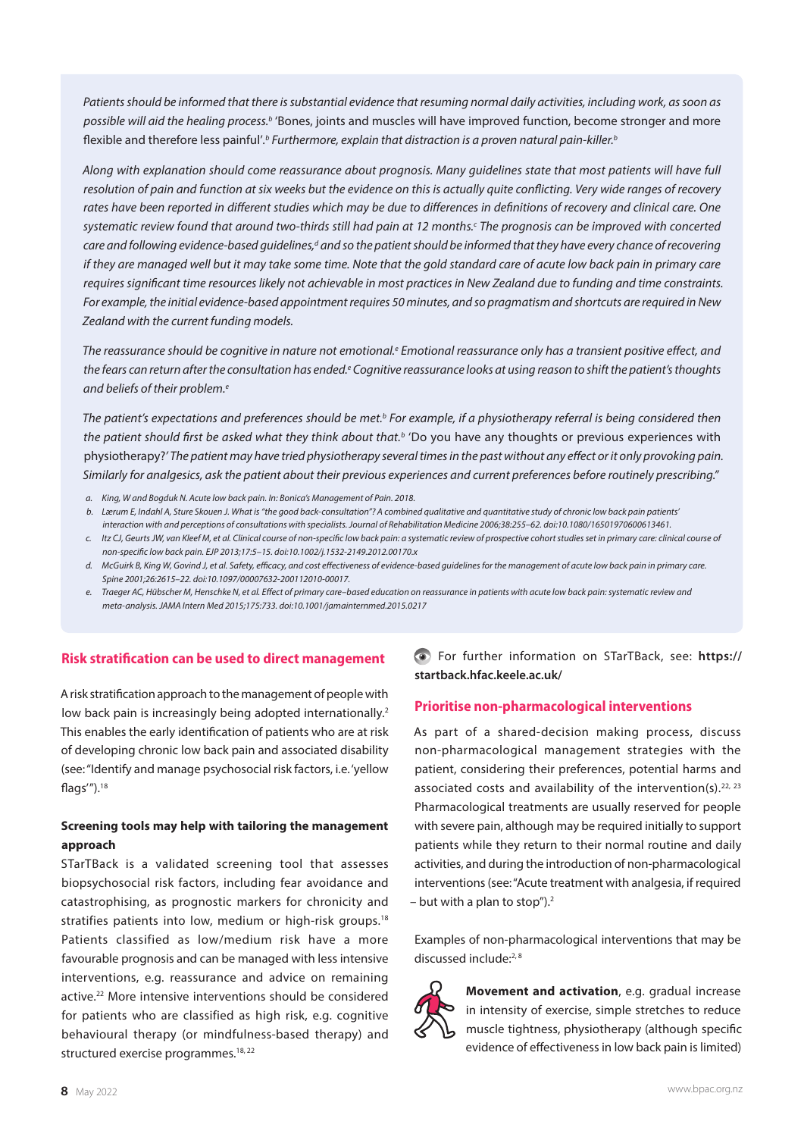*Patients should be informed that there is substantial evidence that resuming normal daily activities, including work, as soon as possible will aid the healing process.b* 'Bones, joints and muscles will have improved function, become stronger and more flexible and therefore less painful'.<sup>t</sup> Furthermore, explain that distraction is a proven natural pain-killer.<sup>t</sup>

*Along with explanation should come reassurance about prognosis. Many guidelines state that most patients will have full resolution of pain and function at six weeks but the evidence on this is actually quite conflicting. Very wide ranges of recovery rates have been reported in different studies which may be due to differences in definitions of recovery and clinical care. One*  systematic review found that around two-thirds still had pain at 12 months.<sup>c</sup> The prognosis can be improved with concerted care and following evidence-based guidelines,<sup>d</sup> and so the patient should be informed that they have every chance of recovering *if they are managed well but it may take some time. Note that the gold standard care of acute low back pain in primary care requires significant time resources likely not achievable in most practices in New Zealand due to funding and time constraints. For example, the initial evidence-based appointment requires 50 minutes, and so pragmatism and shortcuts are required in New Zealand with the current funding models.* 

The reassurance should be cognitive in nature not emotional.<sup>e</sup> Emotional reassurance only has a transient positive effect, and the fears can return after the consultation has ended.<sup>e</sup> Cognitive reassurance looks at using reason to shift the patient's thoughts and beliefs of their problem.<sup>e</sup>

The patient's expectations and preferences should be met.<sup>b</sup> For example, if a physiotherapy referral is being considered then the patient should first be asked what they think about that.<sup>b</sup> 'Do you have any thoughts or previous experiences with physiotherapy?*' The patient may have tried physiotherapy several times in the past without any effect or it only provoking pain. Similarly for analgesics, ask the patient about their previous experiences and current preferences before routinely prescribing."*

- *a. King, W and Bogduk N. Acute low back pain. In: Bonica's Management of Pain. 2018.*
- *b. Lærum E, Indahl A, Sture Skouen J. What is "the good back-consultation"? A combined qualitative and quantitative study of chronic low back pain patients' interaction with and perceptions of consultations with specialists. Journal of Rehabilitation Medicine 2006;38:255–62. doi:10.1080/16501970600613461.*
- *c. Itz CJ, Geurts JW, van Kleef M, et al. Clinical course of non-specific low back pain: a systematic review of prospective cohort studies set in primary care: clinical course of non-specific low back pain. EJP 2013;17:5–15. doi:10.1002/j.1532-2149.2012.00170.x*
- *d. McGuirk B, King W, Govind J, et al. Safety, efficacy, and cost effectiveness of evidence-based guidelines for the management of acute low back pain in primary care. Spine 2001;26:2615–22. doi:10.1097/00007632-200112010-00017.*
- *e. Traeger AC, Hübscher M, Henschke N, et al. Effect of primary care–based education on reassurance in patients with acute low back pain: systematic review and meta-analysis. JAMA Intern Med 2015;175:733. doi:10.1001/jamainternmed.2015.0217*

#### **Risk stratification can be used to direct management**

A risk stratification approach to the management of people with low back pain is increasingly being adopted internationally.<sup>2</sup> This enables the early identification of patients who are at risk of developing chronic low back pain and associated disability (see: "Identify and manage psychosocial risk factors, i.e. 'yellow flags'").18

#### **Screening tools may help with tailoring the management approach**

STarTBack is a validated screening tool that assesses biopsychosocial risk factors, including fear avoidance and catastrophising, as prognostic markers for chronicity and stratifies patients into low, medium or high-risk groups.<sup>18</sup> Patients classified as low/medium risk have a more favourable prognosis and can be managed with less intensive interventions, e.g. reassurance and advice on remaining active.22 More intensive interventions should be considered for patients who are classified as high risk, e.g. cognitive behavioural therapy (or mindfulness-based therapy) and structured exercise programmes.<sup>18, 22</sup>

For further information on STarTBack, see: **[https://](https://startback.hfac.keele.ac.uk/) [startback.hfac.keele.ac.uk/](https://startback.hfac.keele.ac.uk/)**

#### **Prioritise non-pharmacological interventions**

As part of a shared-decision making process, discuss non-pharmacological management strategies with the patient, considering their preferences, potential harms and associated costs and availability of the intervention(s).<sup>22, 23</sup> Pharmacological treatments are usually reserved for people with severe pain, although may be required initially to support patients while they return to their normal routine and daily activities, and during the introduction of non-pharmacological interventions (see: "Acute treatment with analgesia, if required  $-$  but with a plan to stop").<sup>2</sup>

Examples of non-pharmacological interventions that may be discussed include:<sup>2, 8</sup>



**Movement and activation**, e.g. gradual increase in intensity of exercise, simple stretches to reduce muscle tightness, physiotherapy (although specific evidence of effectiveness in low back pain is limited)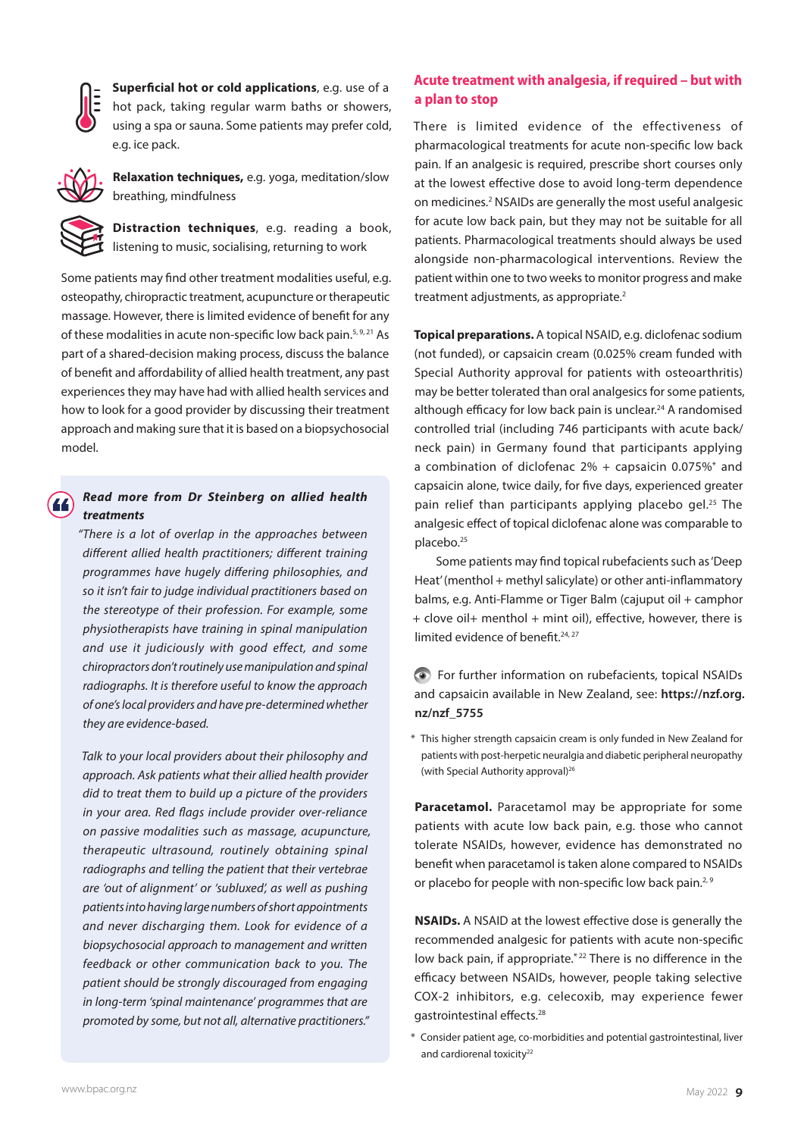

**Superficial hot or cold applications**, e.g. use of a hot pack, taking regular warm baths or showers, using a spa or sauna. Some patients may prefer cold, e.g. ice pack.



**Relaxation techniques,** e.g. yoga, meditation/slow breathing, mindfulness

**Distraction techniques**, e.g. reading a book, listening to music, socialising, returning to work

Some patients may find other treatment modalities useful, e.g. osteopathy, chiropractic treatment, acupuncture or therapeutic massage. However, there is limited evidence of benefit for any of these modalities in acute non-specific low back pain.<sup>5, 9, 21</sup> As part of a shared-decision making process, discuss the balance of benefit and affordability of allied health treatment, any past experiences they may have had with allied health services and how to look for a good provider by discussing their treatment approach and making sure that it is based on a biopsychosocial model.

#### *Read more from Dr Steinberg on allied health treatments*

*"There is a lot of overlap in the approaches between different allied health practitioners; different training programmes have hugely differing philosophies, and so it isn't fair to judge individual practitioners based on the stereotype of their profession. For example, some physiotherapists have training in spinal manipulation and use it judiciously with good effect, and some chiropractors don't routinely use manipulation and spinal radiographs. It is therefore useful to know the approach of one's local providers and have pre-determined whether they are evidence-based.* 

*Talk to your local providers about their philosophy and approach. Ask patients what their allied health provider did to treat them to build up a picture of the providers in your area. Red flags include provider over-reliance on passive modalities such as massage, acupuncture, therapeutic ultrasound, routinely obtaining spinal radiographs and telling the patient that their vertebrae are 'out of alignment' or 'subluxed', as well as pushing patients into having large numbers of short appointments and never discharging them. Look for evidence of a biopsychosocial approach to management and written feedback or other communication back to you. The patient should be strongly discouraged from engaging in long-term 'spinal maintenance' programmes that are promoted by some, but not all, alternative practitioners."*

#### **Acute treatment with analgesia, if required – but with a plan to stop**

There is limited evidence of the effectiveness of pharmacological treatments for acute non-specific low back pain. If an analgesic is required, prescribe short courses only at the lowest effective dose to avoid long-term dependence on medicines.2 NSAIDs are generally the most useful analgesic for acute low back pain, but they may not be suitable for all patients. Pharmacological treatments should always be used alongside non-pharmacological interventions. Review the patient within one to two weeks to monitor progress and make treatment adjustments, as appropriate.<sup>2</sup>

**Topical preparations.** A topical NSAID, e.g. diclofenac sodium (not funded), or capsaicin cream (0.025% cream funded with Special Authority approval for patients with osteoarthritis) may be better tolerated than oral analgesics for some patients, although efficacy for low back pain is unclear.<sup>24</sup> A randomised controlled trial (including 746 participants with acute back/ neck pain) in Germany found that participants applying a combination of diclofenac  $2\%$  + capsaicin 0.075%\* and capsaicin alone, twice daily, for five days, experienced greater pain relief than participants applying placebo gel.<sup>25</sup> The analgesic effect of topical diclofenac alone was comparable to placebo.25

Some patients may find topical rubefacients such as 'Deep Heat' (menthol + methyl salicylate) or other anti-inflammatory balms, e.g. Anti-Flamme or Tiger Balm (cajuput oil + camphor + clove oil+ menthol + mint oil), effective, however, there is limited evidence of benefit.<sup>24, 27</sup>

#### For further information on rubefacients, topical NSAIDs and capsaicin available in New Zealand, see: **[https://nzf.org.](https://nzf.org.nz/nzf_5755) [nz/nzf\\_5755](https://nzf.org.nz/nzf_5755)**

\* This higher strength capsaicin cream is only funded in New Zealand for patients with post-herpetic neuralgia and diabetic peripheral neuropathy (with Special Authority approval)<sup>26</sup>

**Paracetamol.** Paracetamol may be appropriate for some patients with acute low back pain, e.g. those who cannot tolerate NSAIDs, however, evidence has demonstrated no benefit when paracetamol is taken alone compared to NSAIDs or placebo for people with non-specific low back pain.<sup>2, 9</sup>

**NSAIDs.** A NSAID at the lowest effective dose is generally the recommended analgesic for patients with acute non-specific low back pain, if appropriate.<sup>\*22</sup> There is no difference in the efficacy between NSAIDs, however, people taking selective COX-2 inhibitors, e.g. celecoxib, may experience fewer gastrointestinal effects.28

\* Consider patient age, co-morbidities and potential gastrointestinal, liver and cardiorenal toxicity<sup>22</sup>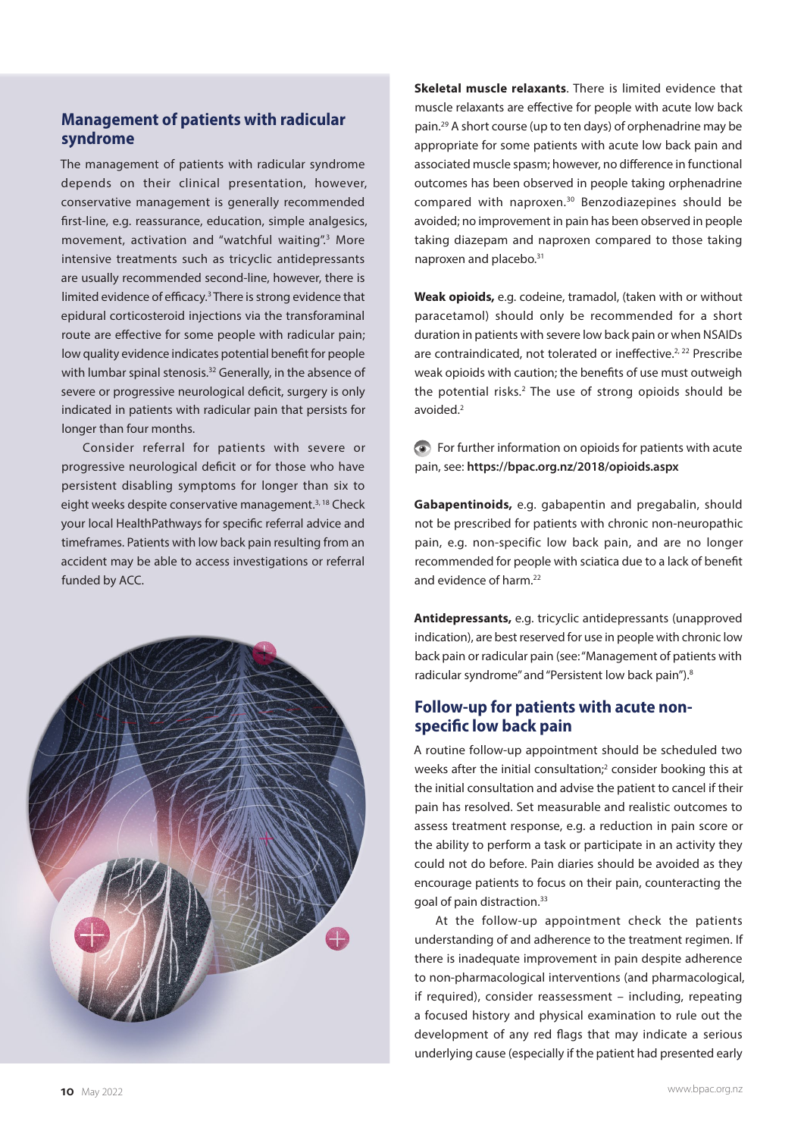#### **Management of patients with radicular syndrome**

The management of patients with radicular syndrome depends on their clinical presentation, however, conservative management is generally recommended first-line, e.g. reassurance, education, simple analgesics, movement, activation and "watchful waiting".<sup>3</sup> More intensive treatments such as tricyclic antidepressants are usually recommended second-line, however, there is limited evidence of efficacy.<sup>3</sup> There is strong evidence that epidural corticosteroid injections via the transforaminal route are effective for some people with radicular pain; low quality evidence indicates potential benefit for people with lumbar spinal stenosis.<sup>32</sup> Generally, in the absence of severe or progressive neurological deficit, surgery is only indicated in patients with radicular pain that persists for longer than four months.

Consider referral for patients with severe or progressive neurological deficit or for those who have persistent disabling symptoms for longer than six to eight weeks despite conservative management.<sup>3, 18</sup> Check your local HealthPathways for specific referral advice and timeframes. Patients with low back pain resulting from an accident may be able to access investigations or referral funded by ACC.



**Skeletal muscle relaxants**. There is limited evidence that muscle relaxants are effective for people with acute low back pain.29 A short course (up to ten days) of orphenadrine may be appropriate for some patients with acute low back pain and associated muscle spasm; however, no difference in functional outcomes has been observed in people taking orphenadrine compared with naproxen.30 Benzodiazepines should be avoided; no improvement in pain has been observed in people taking diazepam and naproxen compared to those taking naproxen and placebo.<sup>31</sup>

**Weak opioids,** e.g. codeine, tramadol, (taken with or without paracetamol) should only be recommended for a short duration in patients with severe low back pain or when NSAIDs are contraindicated, not tolerated or ineffective.<sup>2, 22</sup> Prescribe weak opioids with caution; the benefits of use must outweigh the potential risks.<sup>2</sup> The use of strong opioids should be avoided.2

For further information on opioids for patients with acute pain, see: **<https://bpac.org.nz/2018/opioids.aspx>**

**Gabapentinoids,** e.g. gabapentin and pregabalin, should not be prescribed for patients with chronic non-neuropathic pain, e.g. non-specific low back pain, and are no longer recommended for people with sciatica due to a lack of benefit and evidence of harm.<sup>22</sup>

**Antidepressants,** e.g. tricyclic antidepressants (unapproved indication), are best reserved for use in people with chronic low back pain or radicular pain (see: "Management of patients with radicular syndrome" and "Persistent low back pain").<sup>8</sup>

#### **Follow-up for patients with acute nonspecific low back pain**

A routine follow-up appointment should be scheduled two weeks after the initial consultation; $2$  consider booking this at the initial consultation and advise the patient to cancel if their pain has resolved. Set measurable and realistic outcomes to assess treatment response, e.g. a reduction in pain score or the ability to perform a task or participate in an activity they could not do before. Pain diaries should be avoided as they encourage patients to focus on their pain, counteracting the goal of pain distraction.33

At the follow-up appointment check the patients understanding of and adherence to the treatment regimen. If there is inadequate improvement in pain despite adherence to non-pharmacological interventions (and pharmacological, if required), consider reassessment – including, repeating a focused history and physical examination to rule out the development of any red flags that may indicate a serious underlying cause (especially if the patient had presented early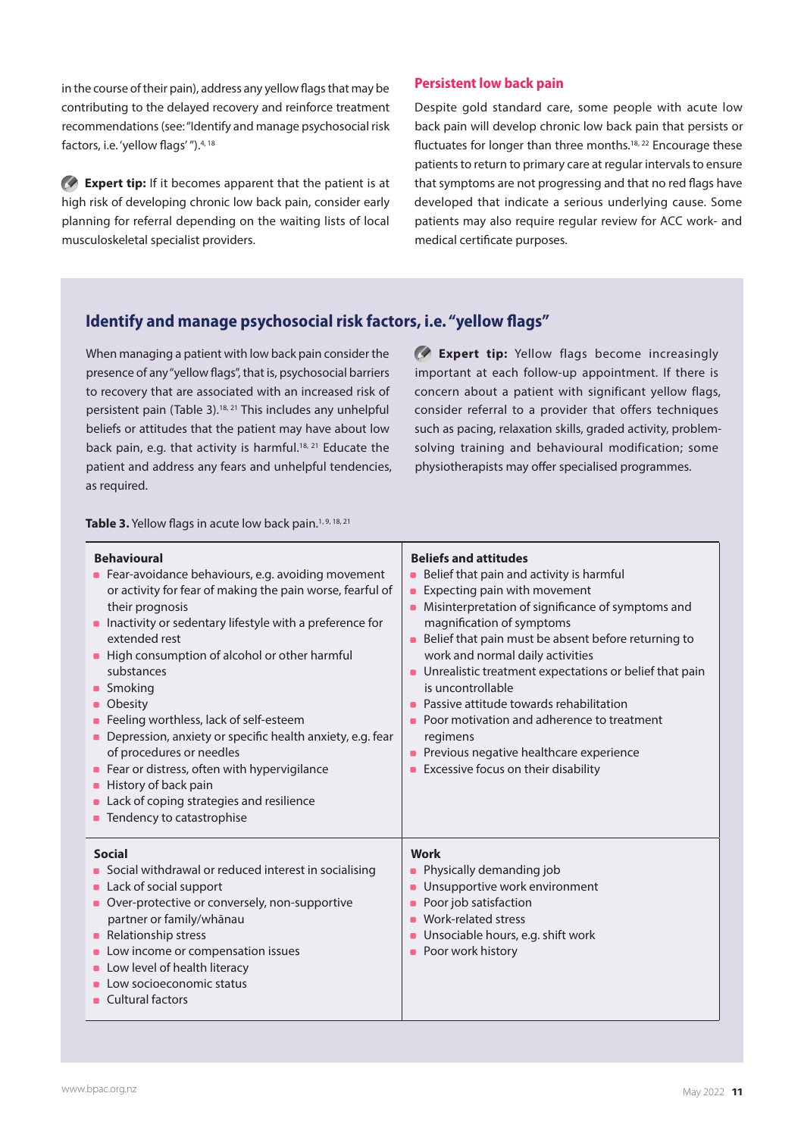in the course of their pain), address any yellow flags that may be contributing to the delayed recovery and reinforce treatment recommendations (see: "Identify and manage psychosocial risk factors, i.e. 'yellow flags' ").<sup>4, 18</sup>

**Expert tip:** If it becomes apparent that the patient is at high risk of developing chronic low back pain, consider early planning for referral depending on the waiting lists of local musculoskeletal specialist providers.

#### **Persistent low back pain**

Despite gold standard care, some people with acute low back pain will develop chronic low back pain that persists or fluctuates for longer than three months.<sup>18, 22</sup> Encourage these patients to return to primary care at regular intervals to ensure that symptoms are not progressing and that no red flags have developed that indicate a serious underlying cause. Some patients may also require regular review for ACC work- and medical certificate purposes.

### **Identify and manage psychosocial risk factors, i.e. "yellow flags"**

When managing a patient with low back pain consider the presence of any "yellow flags", that is, psychosocial barriers to recovery that are associated with an increased risk of persistent pain (Table 3).18, 21 This includes any unhelpful beliefs or attitudes that the patient may have about low back pain, e.g. that activity is harmful.<sup>18, 21</sup> Educate the patient and address any fears and unhelpful tendencies, as required.

**Expert tip:** Yellow flags become increasingly important at each follow-up appointment. If there is concern about a patient with significant yellow flags, consider referral to a provider that offers techniques such as pacing, relaxation skills, graded activity, problemsolving training and behavioural modification; some physiotherapists may offer specialised programmes.

Table 3. Yellow flags in acute low back pain.<sup>1, 9, 18, 21</sup>

| <b>Behavioural</b>                                                                                                                                                                                                                                                                                                       | <b>Beliefs and attitudes</b>                                                                                                                                                                                                           |
|--------------------------------------------------------------------------------------------------------------------------------------------------------------------------------------------------------------------------------------------------------------------------------------------------------------------------|----------------------------------------------------------------------------------------------------------------------------------------------------------------------------------------------------------------------------------------|
| • Fear-avoidance behaviours, e.g. avoiding movement                                                                                                                                                                                                                                                                      | Belief that pain and activity is harmful                                                                                                                                                                                               |
| or activity for fear of making the pain worse, fearful of                                                                                                                                                                                                                                                                | ٠                                                                                                                                                                                                                                      |
| their prognosis                                                                                                                                                                                                                                                                                                          | Expecting pain with movement                                                                                                                                                                                                           |
| Inactivity or sedentary lifestyle with a preference for                                                                                                                                                                                                                                                                  | $\blacksquare$                                                                                                                                                                                                                         |
| extended rest                                                                                                                                                                                                                                                                                                            | Misinterpretation of significance of symptoms and                                                                                                                                                                                      |
| High consumption of alcohol or other harmful                                                                                                                                                                                                                                                                             | ٠                                                                                                                                                                                                                                      |
| $\qquad \qquad \blacksquare$                                                                                                                                                                                                                                                                                             | magnification of symptoms                                                                                                                                                                                                              |
| substances                                                                                                                                                                                                                                                                                                               | Belief that pain must be absent before returning to                                                                                                                                                                                    |
| Smoking                                                                                                                                                                                                                                                                                                                  | work and normal daily activities                                                                                                                                                                                                       |
| Obesity                                                                                                                                                                                                                                                                                                                  | Unrealistic treatment expectations or belief that pain                                                                                                                                                                                 |
| ۰                                                                                                                                                                                                                                                                                                                        | is uncontrollable                                                                                                                                                                                                                      |
| Feeling worthless, lack of self-esteem                                                                                                                                                                                                                                                                                   | Passive attitude towards rehabilitation                                                                                                                                                                                                |
| Depression, anxiety or specific health anxiety, e.g. fear                                                                                                                                                                                                                                                                | Poor motivation and adherence to treatment                                                                                                                                                                                             |
| of procedures or needles                                                                                                                                                                                                                                                                                                 | ٠                                                                                                                                                                                                                                      |
| Fear or distress, often with hypervigilance                                                                                                                                                                                                                                                                              | regimens                                                                                                                                                                                                                               |
| History of back pain                                                                                                                                                                                                                                                                                                     | Previous negative healthcare experience                                                                                                                                                                                                |
| Lack of coping strategies and resilience                                                                                                                                                                                                                                                                                 | $\blacksquare$                                                                                                                                                                                                                         |
| Tendency to catastrophise                                                                                                                                                                                                                                                                                                | Excessive focus on their disability                                                                                                                                                                                                    |
| <b>Social</b><br>Social withdrawal or reduced interest in socialising<br>Lack of social support<br>Over-protective or conversely, non-supportive<br>partner or family/whānau<br>Relationship stress<br>Low income or compensation issues<br>Low level of health literacy<br>Low socioeconomic status<br>Cultural factors | Work<br>Physically demanding job<br>Unsupportive work environment<br>$\blacksquare$<br>Poor job satisfaction<br>$\blacksquare$<br>Work-related stress<br>$\blacksquare$<br>Unsociable hours, e.g. shift work<br>Poor work history<br>٠ |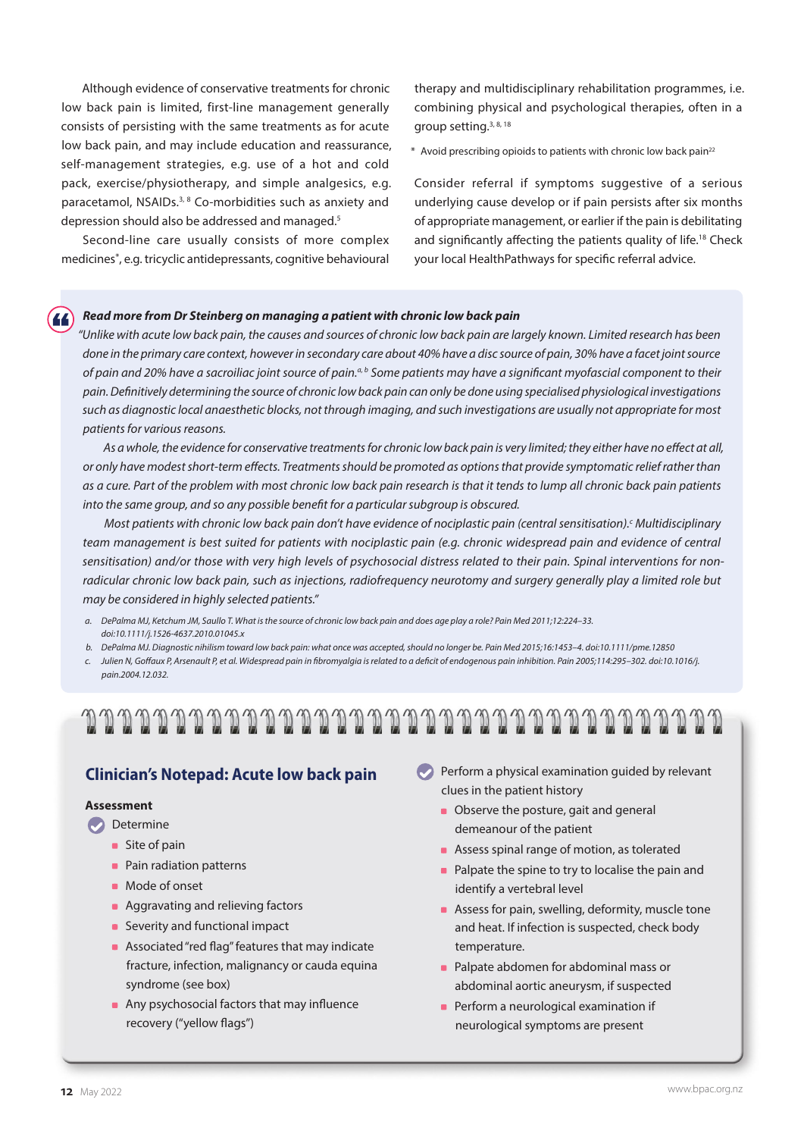Although evidence of conservative treatments for chronic low back pain is limited, first-line management generally consists of persisting with the same treatments as for acute low back pain, and may include education and reassurance, self-management strategies, e.g. use of a hot and cold pack, exercise/physiotherapy, and simple analgesics, e.g. paracetamol, NSAIDs.3, 8 Co-morbidities such as anxiety and depression should also be addressed and managed.<sup>5</sup>

Second-line care usually consists of more complex medicines\*, e.g. tricyclic antidepressants, cognitive behavioural therapy and multidisciplinary rehabilitation programmes, i.e. combining physical and psychological therapies, often in a group setting.3, 8, 18

\* Avoid prescribing opioids to patients with chronic low back pain22

Consider referral if symptoms suggestive of a serious underlying cause develop or if pain persists after six months of appropriate management, or earlier if the pain is debilitating and significantly affecting the patients quality of life.<sup>18</sup> Check your local HealthPathways for specific referral advice.

#### *Read more from Dr Steinberg on managing a patient with chronic low back pain*

*"Unlike with acute low back pain, the causes and sources of chronic low back pain are largely known. Limited research has been done in the primary care context, however in secondary care about 40% have a disc source of pain, 30% have a facet joint source of pain and 20% have a sacroiliac joint source of pain.a, b Some patients may have a significant myofascial component to their pain. Definitively determining the source of chronic low back pain can only be done using specialised physiological investigations such as diagnostic local anaesthetic blocks, not through imaging, and such investigations are usually not appropriate for most patients for various reasons.*

*As a whole, the evidence for conservative treatments for chronic low back pain is very limited; they either have no effect at all, or only have modest short-term effects. Treatments should be promoted as options that provide symptomatic relief rather than as a cure. Part of the problem with most chronic low back pain research is that it tends to lump all chronic back pain patients into the same group, and so any possible benefit for a particular subgroup is obscured.*

Most patients with chronic low back pain don't have evidence of nociplastic pain (central sensitisation).<sup>c</sup> Multidisciplinary *team management is best suited for patients with nociplastic pain (e.g. chronic widespread pain and evidence of central sensitisation) and/or those with very high levels of psychosocial distress related to their pain. Spinal interventions for nonradicular chronic low back pain, such as injections, radiofrequency neurotomy and surgery generally play a limited role but may be considered in highly selected patients."* 

- *a. DePalma MJ, Ketchum JM, Saullo T. What is the source of chronic low back pain and does age play a role? Pain Med 2011;12:224–33. doi:10.1111/j.1526-4637.2010.01045.x*
- *b. DePalma MJ. Diagnostic nihilism toward low back pain: what once was accepted, should no longer be. Pain Med 2015;16:1453–4. doi:10.1111/pme.12850*
- *c. Julien N, Goffaux P, Arsenault P, et al. Widespread pain in fibromyalgia is related to a deficit of endogenous pain inhibition. Pain 2005;114:295–302. doi:10.1016/j. pain.2004.12.032.*

## 

#### **Clinician's Notepad: Acute low back pain**

#### **Assessment**

- **Determine** 
	- **Site of pain**
	- Pain radiation patterns
	- **Mode of onset**
	- **Aggravating and relieving factors**
	- **Severity and functional impact**
	- Associated "red flag" features that may indicate fracture, infection, malignancy or cauda equina syndrome (see box)
	- Any psychosocial factors that may influence recovery ("yellow flags")
- $\blacktriangleright$  Perform a physical examination guided by relevant clues in the patient history
	- Observe the posture, gait and general demeanour of the patient
	- Assess spinal range of motion, as tolerated
	- Palpate the spine to try to localise the pain and identify a vertebral level
	- Assess for pain, swelling, deformity, muscle tone and heat. If infection is suspected, check body temperature.
	- **Palpate abdomen for abdominal mass or** abdominal aortic aneurysm, if suspected
	- **Perform a neurological examination if** neurological symptoms are present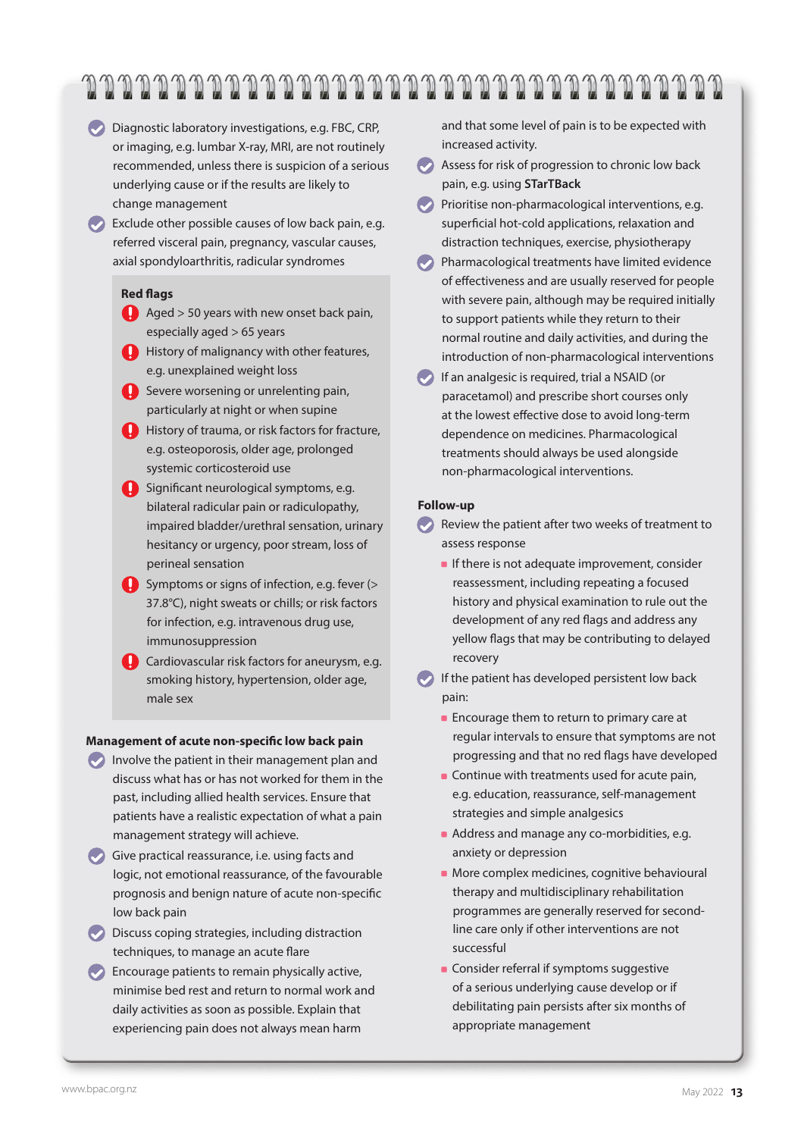## 

Diagnostic laboratory investigations, e.g. FBC, CRP, or imaging, e.g. lumbar X-ray, MRI, are not routinely recommended, unless there is suspicion of a serious underlying cause or if the results are likely to change management

 $\bullet$  Exclude other possible causes of low back pain, e.g. referred visceral pain, pregnancy, vascular causes, axial spondyloarthritis, radicular syndromes

#### **Red flags**

- Aged > 50 years with new onset back pain, especially aged > 65 years
- **C** History of malignancy with other features, e.g. unexplained weight loss
- Severe worsening or unrelenting pain, particularly at night or when supine
- **C** History of trauma, or risk factors for fracture, e.g. osteoporosis, older age, prolonged systemic corticosteroid use
- Significant neurological symptoms, e.g. bilateral radicular pain or radiculopathy, impaired bladder/urethral sensation, urinary hesitancy or urgency, poor stream, loss of perineal sensation
- Symptoms or signs of infection, e.g. fever (> 37.8°C), night sweats or chills; or risk factors for infection, e.g. intravenous drug use, immunosuppression
- Cardiovascular risk factors for aneurysm, e.g. smoking history, hypertension, older age, male sex

#### **Management of acute non-specific low back pain**

- Involve the patient in their management plan and discuss what has or has not worked for them in the past, including allied health services. Ensure that patients have a realistic expectation of what a pain management strategy will achieve.
- Give practical reassurance, i.e. using facts and logic, not emotional reassurance, of the favourable prognosis and benign nature of acute non-specific low back pain
- **Discuss coping strategies, including distraction** techniques, to manage an acute flare
- **Encourage patients to remain physically active,** minimise bed rest and return to normal work and daily activities as soon as possible. Explain that experiencing pain does not always mean harm

and that some level of pain is to be expected with increased activity.

- Assess for risk of progression to chronic low back pain, e.g. using **[STarTBack](https://startback.hfac.keele.ac.uk/training/resources/startback-online/)**
- **Prioritise non-pharmacological interventions, e.g.** superficial hot-cold applications, relaxation and distraction techniques, exercise, physiotherapy
- **Pharmacological treatments have limited evidence** of effectiveness and are usually reserved for people with severe pain, although may be required initially to support patients while they return to their normal routine and daily activities, and during the introduction of non-pharmacological interventions
- If an analgesic is required, trial a NSAID (or paracetamol) and prescribe short courses only at the lowest effective dose to avoid long-term dependence on medicines. Pharmacological treatments should always be used alongside non-pharmacological interventions.

#### **Follow-up**

- Review the patient after two weeks of treatment to assess response
	- If there is not adequate improvement, consider reassessment, including repeating a focused history and physical examination to rule out the development of any red flags and address any yellow flags that may be contributing to delayed recovery
- If the patient has developed persistent low back pain:
	- **Encourage them to return to primary care at** regular intervals to ensure that symptoms are not progressing and that no red flags have developed
	- **Continue with treatments used for acute pain,** e.g. education, reassurance, self-management strategies and simple analgesics
	- Address and manage any co-morbidities, e.g. anxiety or depression
	- **More complex medicines, cognitive behavioural** therapy and multidisciplinary rehabilitation programmes are generally reserved for secondline care only if other interventions are not successful
	- **Consider referral if symptoms suggestive** of a serious underlying cause develop or if debilitating pain persists after six months of appropriate management